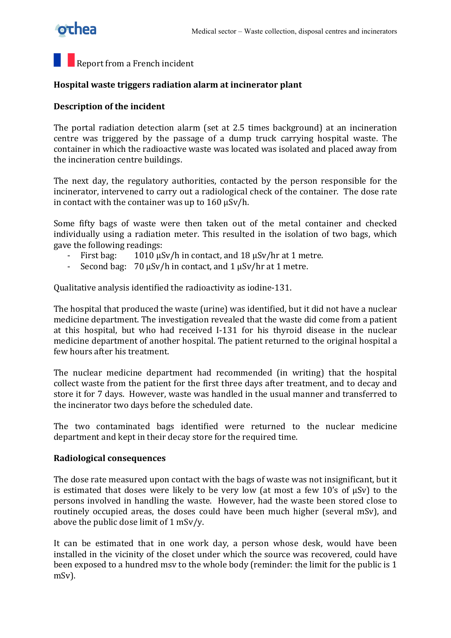

**Report** from a French incident

## **Hospital waste triggers radiation alarm at incinerator plant**

## **Description of the incident**

The portal radiation detection alarm (set at 2.5 times background) at an incineration centre' was' triggered' by' the' passage' of' a' dump' truck' carrying' hospital' waste. The' container in which the radioactive waste was located was isolated and placed away from the incineration centre buildings.

The next day, the regulatory authorities, contacted by the person responsible for the incinerator, intervened to carry out a radiological check of the container. The dose rate in contact with the container was up to  $160 \text{ }\mu\text{Sv/h}.$ 

Some fifty bags of waste were then taken out of the metal container and checked individually using a radiation meter. This resulted in the isolation of two bags, which gave the following readings:

- First bag:  $1010 \text{ uSv/h}$  in contact, and  $18 \text{ uSv/hr}$  at 1 metre.
- Second bag:  $70 \mu Sv/h$  in contact, and  $1 \mu Sv/hr$  at  $1$  metre.

Qualitative analysis identified the radioactivity as iodine-131.

The hospital that produced the waste (urine) was identified, but it did not have a nuclear medicine department. The investigation revealed that the waste did come from a patient at this hospital, but who had received I-131 for his thyroid disease in the nuclear medicine department of another hospital. The patient returned to the original hospital a few hours after his treatment.

The nuclear medicine department had recommended (in writing) that the hospital collect waste from the patient for the first three days after treatment, and to decay and store it for 7 days. However, waste was handled in the usual manner and transferred to the incinerator two days before the scheduled date.

The two contaminated bags identified were returned to the nuclear medicine department and kept in their decay store for the required time.

## **Radiological!consequences**

The dose rate measured upon contact with the bags of waste was not insignificant, but it is estimated that doses were likely to be very low (at most a few  $10$ 's of  $\mu Sv$ ) to the persons involved in handling the waste. However, had the waste been stored close to routinely occupied areas, the doses could have been much higher (several mSv), and above the public dose limit of  $1 \text{ mSv/y}$ .

It can be estimated that in one work day, a person whose desk, would have been installed in the vicinity of the closet under which the source was recovered, could have been exposed to a hundred msv to the whole body (reminder: the limit for the public is 1 mSv).